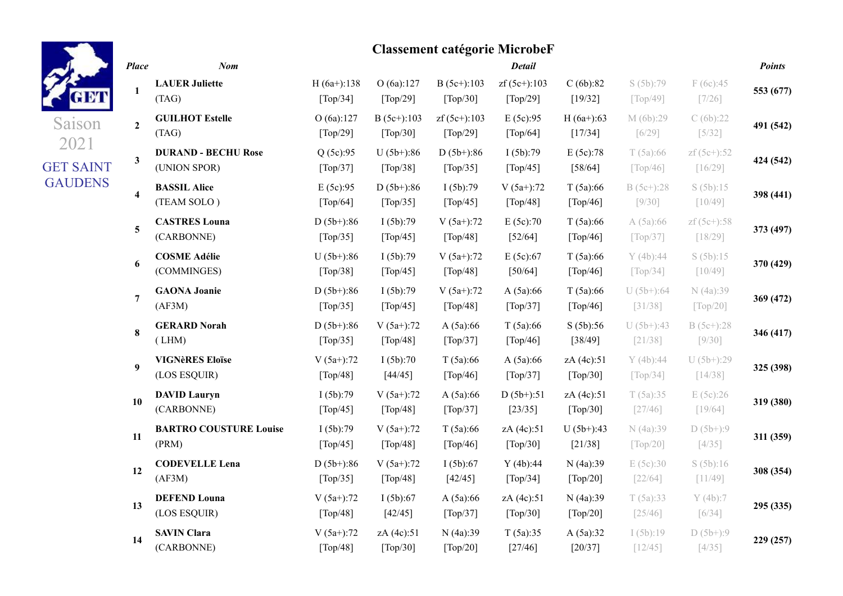| ÷ |  |
|---|--|
|   |  |

**1**

**LAUER Juliette**

Saison 2021

### **Classement catégorie MicrobeF** *Place Nom Detail Points* H (6a+):138  $[T<sub>on</sub>/34]$ O (6a):127  $[T<sub>on</sub>/20]$ B (5c+):103  $[T<sub>on</sub>/30]$ zf (5c+):103  $[T<sub>on</sub>/20]$ C (6b):82  $[10/32]$ S (5b):79  $[T<sub>on</sub>/40]$

F (6c):45

**553 (677)**

| л.                      | (TAG)                                      | [Top/34]                                      | [Top/29]                                    | $\lceil \text{Top}/30 \rceil$ | [Top/29]                                  | [19/32]                 | $\lceil \text{Top}/49 \rceil$             | $[7/26]$                  | 333(011)  |
|-------------------------|--------------------------------------------|-----------------------------------------------|---------------------------------------------|-------------------------------|-------------------------------------------|-------------------------|-------------------------------------------|---------------------------|-----------|
| $\overline{2}$          | <b>GUILHOT Estelle</b><br>(TAG)            | O (6a):127<br>[Top/29]                        | $B(5c+):103$<br>[Top/30]                    | $zf(5c+)$ :103<br>[Top/29]    | E(5c):95<br>[Top/64]                      | $H(6a+)$ :63<br>[17/34] | M (6b):29<br>$[6/29]$                     | C(6b):22<br>$[5/32]$      | 491 (542) |
| $\mathbf{3}$            | <b>DURAND - BECHU Rose</b><br>(UNION SPOR) | Q(5c):95<br>[Top/37]                          | $U(5b+)$ :86<br>[Top/38]                    | $D(5b+)$ :86<br>[Top/35]      | I(5b):79<br>[Top/45]                      | E(5c):78<br>[58/64]     | T(5a):66<br>$\lceil \text{Top}/46 \rceil$ | $zf(5c+) : 52$<br>[16/29] | 424 (542) |
| $\overline{\mathbf{4}}$ | <b>BASSIL Alice</b><br>(TEAM SOLO)         | E(5c):95<br>[Top/64]                          | $D(5b+)$ :86<br>[Top/35]                    | I(5b):79<br>[Top/45]          | $V(5a+)$ :72<br>[Top/48]                  | T(5a):66<br>[Top/46]    | $B(5c+)$ :28<br>$[9/30]$                  | S(5b):15<br>[10/49]       | 398 (441) |
| 5                       | <b>CASTRES Louna</b><br>(CARBONNE)         | $D(5b+)$ :86<br>[Top/35]                      | I(5b):79<br>[Top/45]                        | $V(5a+)$ :72<br>[Top/48]      | E(5c):70<br>$[52/64]$                     | T(5a):66<br>[Top/46]    | A(5a):66<br>$\lceil \text{Top}/37 \rceil$ | $zf(5c+) : 58$<br>[18/29] | 373 (497) |
| 6                       | <b>COSME Adélie</b><br>(COMMINGES)         | $U(5b+)$ :86<br>[Top/38]                      | I(5b):79<br>[Top/45]                        | $V(5a+)$ :72<br>[Top/48]      | E(5c):67<br>[50/64]                       | T(5a):66<br>[Top/46]    | Y(4b):44<br>[Top/34]                      | S(5b):15<br>[10/49]       | 370 (429) |
| $\overline{7}$          | <b>GAONA Joanie</b><br>(AF3M)              | $D(5b+)$ :86<br>[Top/35]                      | I(5b):79<br>[Top/45]                        | $V(5a+)$ :72<br>[Top/48]      | A(5a):66<br>[Top/37]                      | T(5a):66<br>[Top/46]    | $U(5b+)$ :64<br>[31/38]                   | N (4a):39<br>[Top/20]     | 369 (472) |
| 8                       | <b>GERARD Norah</b><br>(LHM)               | $D(5b+)$ :86<br>[Top/35]                      | $V(5a+)$ :72<br>[Top/48]                    | A(5a):66<br>[Top/37]          | T(5a):66<br>[Top/46]                      | S(5b):56<br>[38/49]     | $U(5b+)$ :43<br>[21/38]                   | $B(5c+)$ :28<br>$[9/30]$  | 346 (417) |
| 9                       | <b>VIGNèRES Eloïse</b><br>(LOS ESQUIR)     | $V(5a+)$ :72<br>[Top/48]                      | I(5b):70<br>[44/45]                         | T(5a):66<br>[Top/46]          | A(5a):66<br>[Top/37]                      | zA (4c):51<br>[Top/30]  | Y(4b):44<br>[Top/34]                      | $U(5b+)$ :29<br>$[14/38]$ | 325 (398) |
| 10                      | <b>DAVID Lauryn</b><br>(CARBONNE)          | I(5b):79<br>[Top/45]                          | $V(5a+)$ :72<br>[Top/48]                    | A(5a):66<br>[Top/37]          | $D(5b+)$ :51<br>[23/35]                   | zA (4c):51<br>[Top/30]  | T(5a):35<br>$[27/46]$                     | E(5c):26<br>$[19/64]$     | 319 (380) |
| 11                      | <b>BARTRO COUSTURE Louise</b><br>(PRM)     | I(5b):79<br>[Top/45]                          | $V(5a+)$ :72<br>[Top/48]                    | T(5a):66<br>[Top/46]          | zA (4c):51<br>[Top/30]                    | $U(5b+)$ :43<br>[21/38] | N (4a):39<br>[Top/20]                     | $D(5b+):9$<br>$[4/35]$    | 311 (359) |
| 12                      | <b>CODEVELLE Lena</b><br>(AF3M)            | $D(5b+)$ :86<br>$\lceil \text{Top}/35 \rceil$ | $V(5a+)$ :72<br>[Top/48]                    | I(5b):67<br>[42/45]           | Y(4b):44<br>$\lceil \text{Top}/34 \rceil$ | N (4a):39<br>[Top/20]   | E(5c):30<br>$[22/64]$                     | S(5b):16<br>[11/49]       | 308 (354) |
| 13                      | <b>DEFEND Louna</b><br>(LOS ESQUIR)        | $V(5a+)$ :72<br>[Top/48]                      | I(5b):67<br>[42/45]                         | A(5a):66<br>[Top/37]          | zA (4c):51<br>[Top/30]                    | N (4a):39<br>[Top/20]   | T(5a):33<br>[25/46]                       | Y(4b):7<br>$[6/34]$       | 295 (335) |
| 14                      | <b>SAVIN Clara</b><br>(CARBONNE)           | $V(5a+)$ :72<br>$\lceil \text{Top}/48 \rceil$ | zA (4c):51<br>$\lceil \text{Top}/30 \rceil$ | N (4a):39<br>$[Top/20]$       | T(5a):35<br>[27/46]                       | A(5a):32<br>[20/37]     | I(5b):19<br>[12/45]                       | $D(5b+):9$<br>$[4/35]$    | 229 (257) |

GET SAINT

**GAUDENS**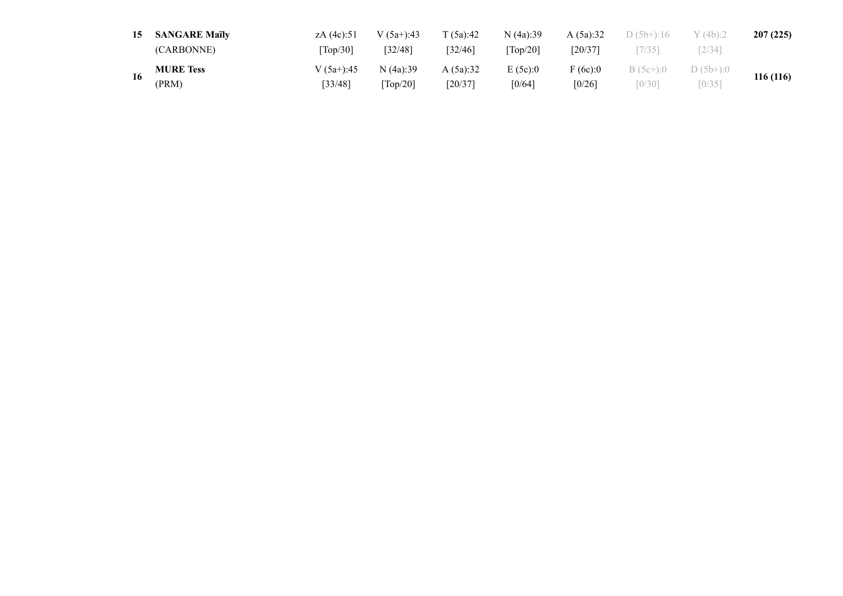| 15 | <b>SANGARE Maïly</b> | zA (4c):51      | $V(5a+)$ :43           | T(5a):42 | N(4a):39                      | A(5a):32  | $D(5b+)$ :16 | Y(4b):2     | 207(225)  |  |
|----|----------------------|-----------------|------------------------|----------|-------------------------------|-----------|--------------|-------------|-----------|--|
|    | (CARBONNE)           | $\text{Top}/30$ | [32/48]                | [32/46]  | $\lceil \text{Top}/20 \rceil$ | $[20/37]$ | [7/35]       | 2/34        |           |  |
|    | <b>MURE Tess</b>     | V $(5a+)$ :45   | N(4a):39               | A(5a):32 | E(5c):0                       | F(6c):0   | $B(5c+)$ :0  | $D(5b+)$ :0 | 116 (116) |  |
|    | (PRM)                | [33/48]         | $\lceil Top/20 \rceil$ | [20/37]  | [0/64]                        | [0/26]    | [0/30]       | [0/35]      |           |  |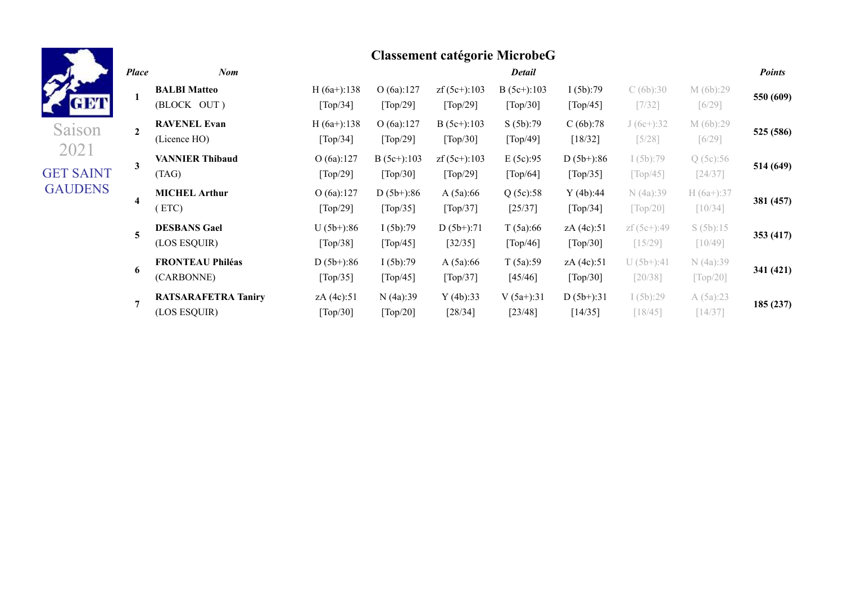**1**

**2**

**3**

**4**

**5**

**6**

Saison 2021

GET SAINT **GAUDENS** 

### **Classement catégorie MicrobeG** *Place Nom Detail Points* **BALBI Matteo** (BLOCK OUT )  $H (6a+) : 138$ [Top/34] O (6a):127 [Top/29] zf (5c+):103 [Top/29] B (5c+):103 [Top/30] I (5b):79  $\lceil Top/45 \rceil$ C (6b):30 [7/32] M (6b):29 [6/29] **550 (609) RAVENEL Evan** (Licence HO) H (6a+):138 [Top/34] O (6a):127 [Top/29] B (5c+):103 [Top/30] S (5b):79 [Top/49] C (6b):78 [18/32] J (6c+):32 [5/28] M (6b):29 [6/29] **525 (586) VANNIER Thibaud** (TAG) O (6a):127 [Top/29] B  $(5c+):103$ [Top/30] zf (5c+):103 [Top/29] E (5c):95 [Top/64]  $D(5b+)$ :86 [Top/35] I (5b):79  $\lceil Top/45 \rceil$ Q (5c):56 [24/37] **514 (649) MICHEL Arthur** ( ETC) O (6a):127 [Top/29]  $D(5b+)$ :86 [Top/35] A (5a):66 [Top/37] Q (5c):58 [25/37] Y (4b):44 [Top/34] N (4a):39 [Top/20] H (6a+):37 [10/34] **381 (457) DESBANS Gael** (LOS ESQUIR)  $U(5b+)$ :86 [Top/38] I (5b):79  $\lceil Top/45 \rceil$  $D(5b+):71$ [32/35] T (5a):66 [Top/46] zA (4c):51 [Top/30] zf (5c+):49 [15/29] S (5b):15 [10/49] **353 (417) FRONTEAU Philéas**  $D(5b+):86$ I (5b):79 A (5a):66 T (5a):59 zA (4c):51  $U(5b+)$ :41 N (4a):39

[Top/37]

Y (4b):33 [28/34]

[45/46]

 $V (5a+) : 31$ [23/48]

[Top/30]

 $D(5b+):31$ [14/35]

[20/38]

I (5b):29 [18/45]

[Top/20]

A (5a):23 [14/37]

**341 (421)**

**185 (237)**

**7 RATSARAFETRA Taniry** (LOS ESQUIR)

 $\lceil \text{Top}/35 \rceil$ 

zA (4c):51 [Top/30]

[Top/45]

N (4a):39 [Top/20]

(CARBONNE)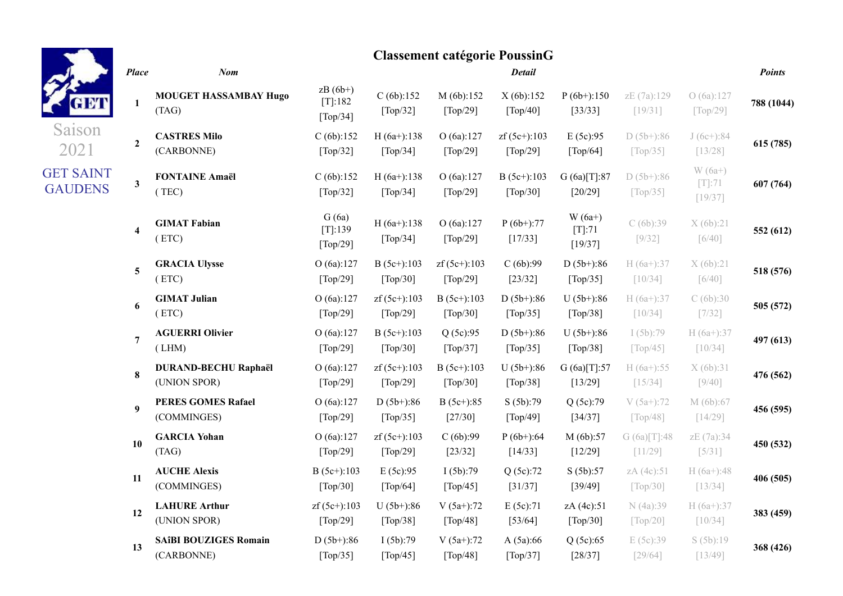| GET                                |
|------------------------------------|
| Saison<br>2021                     |
| <b>GET SAINT</b><br><b>GAUDENS</b> |

#### *Place Nom Detail Points* **1 MOUGET HASSAMBAY Hugo** (TAG)  $zB(6b+)$ [T]:182 [Top/34] C (6b):152 [Top/32] M (6b):152 [Top/29] X (6b):152 [Top/40]  $P(6b+)$ :150 [33/33] zE (7a):129 [19/31] O (6a):127 [Top/29] **788 (1044) 2 CASTRES Milo** (CARBONNE)  $C (6b): 152$ [Top/32] H (6a+):138 [Top/34] O (6a):127 [Top/29]  $zf(5c+)$ :103 [Top/29] E (5c):95  $\lceil \text{Top}/64 \rceil$  $D(5b+):86$  $\lceil \text{Top}/35 \rceil$  $J(6c+)$ :84 [13/28] **615 (785) 3 FONTAINE Amaël** ( TEC)  $C (6b): 152$ [Top/32]  $H (6a+): 138$ [Top/34] O (6a):127 [Top/29] B (5c+):103 [Top/30] G (6a)[T]:87 [20/29]  $D(5b+)$ :86 [Top/35] W (6a+) [T]:71 [19/37] **607 (764) 4 GIMAT Fabian** ( ETC) G (6a) [T]:139 [Top/29]  $H (6a+): 138$ [Top/34] O (6a):127 [Top/29]  $P(6b+):77$ [17/33]  $W(6a+)$ [T]:71 [19/37] C (6b):39 [9/32] X (6b):21 [6/40] **552 (612) 5 GRACIA Ulysse** ( ETC) O (6a):127 [Top/29] B (5c+):103 [Top/30] zf (5c+):103 [Top/29] C (6b):99 [23/32]  $D(5b+)$ :86  $\lceil \text{Top}/35 \rceil$ H (6a+):37 [10/34] X (6b):21 [6/40] **518 (576) 6 GIMAT Julian** ( ETC) O (6a):127 [Top/29] zf (5c+):103 [Top/29] B (5c+):103 [Top/30]  $D(5b+)$ :86  $\lceil \text{Top}/35 \rceil$  $U(5b+)$ :86 [Top/38] H (6a+):37 [10/34]  $C(6b):30$ [7/32] **505 (572) 7 AGUERRI Olivier** ( LHM) O (6a):127 [Top/29] B (5c+):103 [Top/30] Q (5c):95  $\lceil \text{Top}/37 \rceil$  $D(5b+)$ :86  $\lceil \text{Top}/35 \rceil$  $U(5b+)$ :86 [Top/38] I (5b):79  $\lceil Top/45 \rceil$  $H (6a+) : 37$ [10/34] **497 (613) 8 DURAND-BECHU Raphaël** (UNION SPOR) O (6a):127 [Top/29] zf (5c+):103 [Top/29] B (5c+):103 [Top/30]  $U(5b+)$ :86 [Top/38] G (6a)[T]:57 [13/29]  $H (6a+) : 55$ [15/34] X (6b):31 [9/40] **476 (562) 9 PERES GOMES Rafael** (COMMINGES) O (6a):127 [Top/29]  $D(5b+)$ :86 [Top/35] B (5c+):85 [27/30] S (5b):79 [Top/49] Q (5c):79 [34/37] V (5a+):72  $\lceil \text{Top}/48 \rceil$ M (6b):67 [14/29] **456 (595) 10 GARCIA Yohan** (TAG) O (6a):127 [Top/29] zf (5c+):103 [Top/29]  $C(6b):99$ [23/32]  $P(6b+)$ :64 [14/33] M (6b):57 [12/29]  $G (6a)[T]:48$ [11/29] zE (7a):34 [5/31] **450 (532) 11 AUCHE Alexis** (COMMINGES) B (5c+):103 [Top/30]  $E (5c):95$ [Top/64] I (5b):79 [Top/45] Q (5c):72 [31/37] S (5b):57 [39/49] zA (4c):51 [Top/30]  $H (6a+) : 48$ [13/34] **406 (505) 12 LAHURE Arthur** (UNION SPOR) zf (5c+):103 [Top/29]  $U (5b+)$ :86 [Top/38] V (5a+):72 [Top/48] E (5c):71 [53/64] zA (4c):51 [Top/30] N (4a):39 [Top/20]  $H (6a+) : 37$ [10/34] **383 (459) 13 SAîBI BOUZIGES Romain** (CARBONNE)  $D(5b+)$ :86 [Top/35] I (5b):79 [Top/45] V (5a+):72 [Top/48] A (5a):66 [Top/37] Q (5c):65 [28/37] E (5c):39 [29/64] S (5b):19 [13/49] **368 (426)**

### **Classement catégorie PoussinG**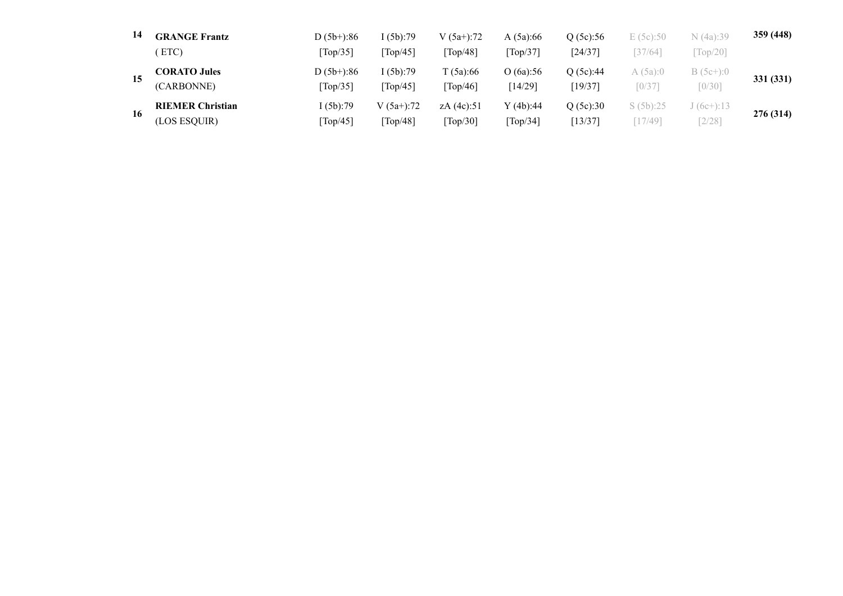| 14 | <b>GRANGE Frantz</b>    | $D(5b+)$ :86 | I (5b):79    | $V(5a+)$ :72      | A $(5a):66$ | O(5c):56 | E(5c):50             | N (4a):39   | 359 (448) |  |
|----|-------------------------|--------------|--------------|-------------------|-------------|----------|----------------------|-------------|-----------|--|
|    | ETC)                    | Top/35       | Top/45       | $\text{Top}/48$ ] | Top/37      | [24/37]  | [37/64]              | $Top/20$ ]  |           |  |
| 15 | <b>CORATO Jules</b>     | $D(5b+)$ :86 | I (5b):79    | T (5a):66         | O(6a):56    | O(5c):44 | A(5a):0              | $B(5c+)$ :0 | 331 (331) |  |
|    | (CARBONNE)              | Top/35       | Top/45       | Top/46            | $[14/29]$   | [19/37]  | $\lceil 0/37 \rceil$ | $[0/30]$    |           |  |
| 16 | <b>RIEMER Christian</b> | I (5b):79    | $V(5a+)$ :72 | zA $(4c):51$      | Y(4b):44    | O(5c):30 | S(5b):25             | $(6c+):13$  | 276 (314) |  |
|    | (LOS ESQUIR)            | Top/45       | $Top/48$ ]   | $Top/30$ ]        | Top/34]     | [13/37]  | $17/49$ ]            | 2/28        |           |  |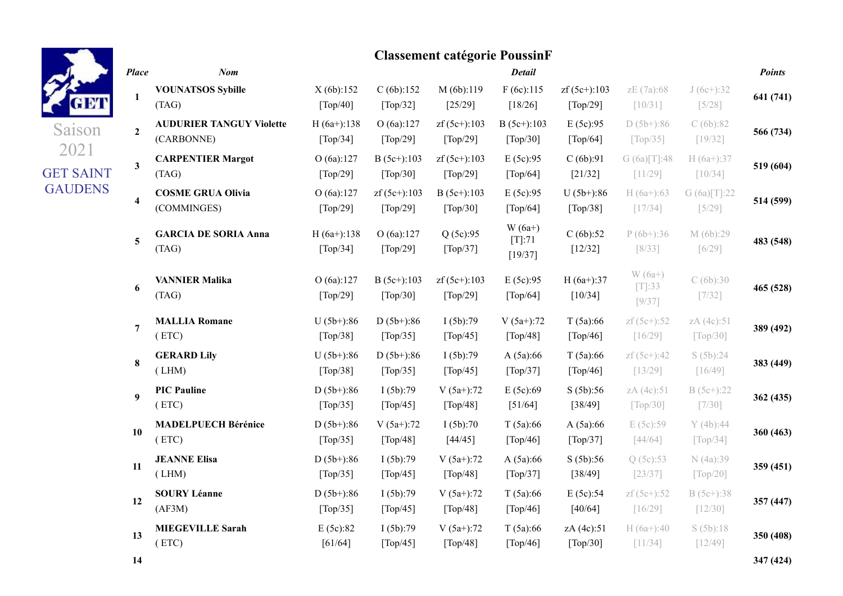# Saison 2021 GET SAINT GAUDENS

|                         |                                               |                                                |                                                | <b>Classement catégorie PoussinF</b>            |                                               |                                               |                                              |                                             |               |
|-------------------------|-----------------------------------------------|------------------------------------------------|------------------------------------------------|-------------------------------------------------|-----------------------------------------------|-----------------------------------------------|----------------------------------------------|---------------------------------------------|---------------|
| <b>Place</b>            | $N$ om                                        |                                                |                                                |                                                 | <b>Detail</b>                                 |                                               |                                              |                                             | <b>Points</b> |
| $\mathbf{1}$            | <b>VOUNATSOS Sybille</b><br>(TAG)             | X(6b):152<br>$\lceil \text{Top}/40 \rceil$     | C(6b):152<br>[Top/32]                          | M (6b):119<br>[25/29]                           | F(6c):115<br>$[18/26]$                        | $zf(5c+)$ :103<br>[Top/29]                    | zE (7a):68<br>[10/31]                        | $J(6c+)$ :32<br>$[5/28]$                    | 641 (741)     |
| $\boldsymbol{2}$        | <b>AUDURIER TANGUY Violette</b><br>(CARBONNE) | $H(6a+)$ :138<br>$\lceil \text{Top}/34 \rceil$ | O(6a):127<br>[Top/29]                          | $zf(5c+)$ :103<br>$[Top/29]$                    | $B(5c+)$ :103<br>[Top/30]                     | E(5c):95<br>[Top/64]                          | $D(5b+):86$<br>$\lceil \text{Top}/35 \rceil$ | C(6b):82<br>[19/32]                         | 566 (734)     |
| $\overline{\mathbf{3}}$ | <b>CARPENTIER Margot</b><br>(TAG)             | O(6a):127<br>[Top/29]                          | $B(5c+):103$<br>[Top/30]                       | $zf(5c+)$ :103<br>[Top/29]                      | E(5c):95<br>[Top/64]                          | C(6b):91<br>$[21/32]$                         | G(6a)[T]:48<br>[11/29]                       | $H(6a+):37$<br>[10/34]                      | 519 (604)     |
| $\overline{\mathbf{4}}$ | <b>COSME GRUA Olivia</b><br>(COMMINGES)       | O(6a):127<br>$\lceil \text{Top}/29 \rceil$     | $zf(5c+)$ :103<br>[Top/29]                     | $B(5c+)$ :103<br>$\lceil \text{Top}/30 \rceil$  | E(5c):95<br>$\lceil \text{Top}/64 \rceil$     | $U(5b+)$ :86<br>$\lceil \text{Top}/38 \rceil$ | $H(6a+):63$<br>[17/34]                       | G (6a)[T]:22<br>$[5/29]$                    | 514 (599)     |
| 5                       | <b>GARCIA DE SORIA Anna</b><br>(TAG)          | $H(6a+)$ :138<br>$\lceil \text{Top}/34 \rceil$ | O(6a):127<br>$\lceil \text{Top}/29 \rceil$     | Q(5c):95<br>[Top/37]                            | $W(6a+)$<br>$[T]:71$<br>[19/37]               | C(6b):52<br>$[12/32]$                         | $P(6b+)$ :36<br>[8/33]                       | M (6b):29<br>$[6/29]$                       | 483 (548)     |
| 6                       | <b>VANNIER Malika</b><br>(TAG)                | O(6a):127<br>$\lceil \text{Top}/29 \rceil$     | $B(5c+)$ :103<br>$\lceil \text{Top}/30 \rceil$ | $zf(5c+)$ :103<br>$\lceil \text{Top}/29 \rceil$ | E(5c):95<br>$\lceil \text{Top}/64 \rceil$     | $H(6a+)$ :37<br>[10/34]                       | $W(6a+)$<br>$[T]$ :33<br>$[9/37]$            | C(6b):30<br>[7/32]                          | 465 (528)     |
| 7                       | <b>MALLIA Romane</b><br>(ETC)                 | $U(5b+)$ :86<br>$\lceil \text{Top}/38 \rceil$  | $D(5b+)$ :86<br>$\lceil \text{Top}/35 \rceil$  | I(5b):79<br>$\lceil \text{Top}/45 \rceil$       | $V(5a+)$ :72<br>$\lceil \text{Top}/48 \rceil$ | T(5a):66<br>$\lceil \text{Top}/46 \rceil$     | $zf(5c+) : 52$<br>[16/29]                    | zA (4c):51<br>$\lceil \text{Top}/30 \rceil$ | 389 (492)     |
| 8                       | <b>GERARD Lily</b><br>(LHM)                   | $U(5b+)$ :86<br>[Top/38]                       | $D(5b+)$ :86<br>[Top/35]                       | I(5b):79<br>[Top/45]                            | A(5a):66<br>[Top/37]                          | T(5a):66<br>[Top/46]                          | $zf(5c+)$ :42<br>[13/29]                     | S(5b):24<br>[16/49]                         | 383 (449)     |
| 9                       | <b>PIC Pauline</b><br>(ETC)                   | $D(5b+)$ :86<br>$\lceil \text{Top}/35 \rceil$  | I(5b):79<br>[Top/45]                           | $V(5a+)$ :72<br>[Top/48]                        | E(5c):69<br>[51/64]                           | S(5b):56<br>[38/49]                           | zA (4c):51<br>$\lceil \text{Top}/30 \rceil$  | $B(5c+)$ :22<br>[7/30]                      | 362 (435)     |
| 10                      | <b>MADELPUECH Bérénice</b><br>(ETC)           | $D(5b+):86$<br>[Top/35]                        | $V(5a+)$ :72<br>[Top/48]                       | I(5b):70<br>[44/45]                             | T(5a):66<br>$\lceil \text{Top}/46 \rceil$     | A(5a):66<br>[Top/37]                          | E (5c):59<br>[44/64]                         | Y(4b):44<br>[Top/34]                        | 360 (463)     |
| 11                      | <b>JEANNE Elisa</b><br>(LHM)                  | $D(5b+)$ :86<br>[Top/35]                       | I(5b):79<br>[Top/45]                           | $V(5a+)$ :72<br>$[Top/48]$                      | A(5a):66<br>[Top/37]                          | S(5b):56<br>[38/49]                           | Q(5c):53<br>$[23/37]$                        | N (4a):39<br>[Top/20]                       | 359 (451)     |
| 12                      | <b>SOURY Léanne</b><br>(AF3M)                 | $D(5b+):86$<br>[Top/35]                        | I(5b):79<br>[Top/45]                           | $V(5a+)$ :72<br>[Top/48]                        | T(5a):66<br>[Top/46]                          | E(5c):54<br>[40/64]                           | $zf(5c+) : 52$<br>[16/29]                    | $B(5c+)$ :38<br>$[12/30]$                   | 357 (447)     |
| 13                      | <b>MIEGEVILLE Sarah</b><br>(ETC)              | E(5c):82<br>[61/64]                            | I(5b):79<br>$\lceil \text{Top}/45 \rceil$      | $V(5a+)$ :72<br>[Top/48]                        | T(5a):66<br>[Top/46]                          | zA (4c):51<br>[Top/30]                        | $H(6a+)$ :40<br>[11/34]                      | S(5b):18<br>[12/49]                         | 350 (408)     |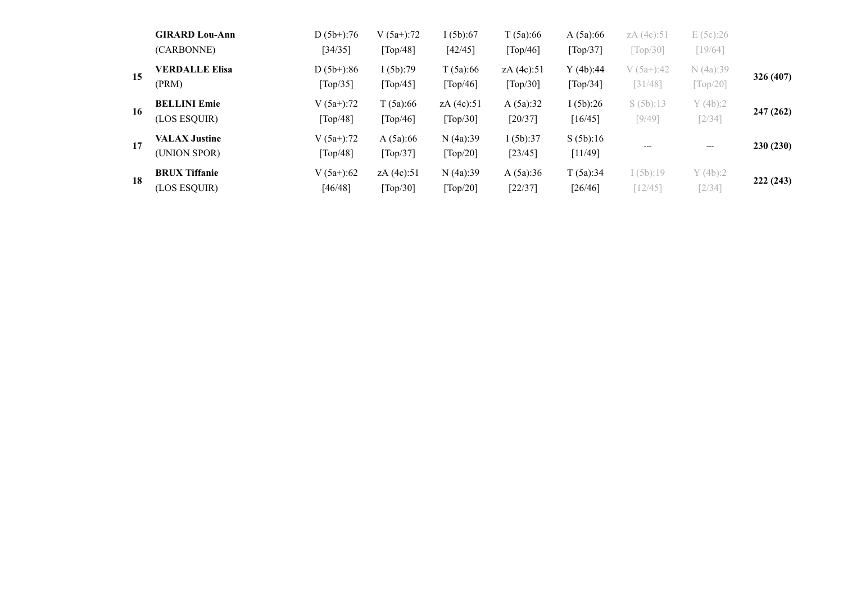|    | <b>GIRARD Lou-Ann</b><br>(CARBONNE)  | $D(5b+)$ :76<br>[34/35]  | $V(5a+)$ :72<br>[Top/48]             | I(5b):67<br>[42/45]                | T(5a):66<br>[Top/46]   | A(5a):66<br>[Top/37] | zA (4c):51<br>$\lceil \text{Top}/30 \rceil$ | E(5c):26<br>[19/64]                  |           |
|----|--------------------------------------|--------------------------|--------------------------------------|------------------------------------|------------------------|----------------------|---------------------------------------------|--------------------------------------|-----------|
| 15 | <b>VERDALLE Elisa</b><br>(PRM)       | $D(5b+)$ :86<br>[Top/35] | I(5b):79<br>[Top/45]                 | T(5a):66<br>[Top/46]               | zA (4c):51<br>[Top/30] | Y(4b):44<br>[Top/34] | $V(5a+)$ :42<br>[31/48]                     | N(4a):39<br>$\lbrack Top/20 \rbrack$ | 326 (407) |
| 16 | <b>BELLINI Emie</b><br>(LOS ESQUIR)  | $V(5a+)$ :72<br>[Top/48] | T(5a):66<br>[Top/46]                 | zA (4c):51<br>[Top/30]             | A(5a):32<br>[20/37]    | I(5b):26<br>[16/45]  | S(5b):13<br>[9/49]                          | Y(4b):2<br>$\lceil 2/34 \rceil$      | 247 (262) |
| 17 | <b>VALAX Justine</b><br>(UNION SPOR) | $V(5a+)$ :72<br>[Top/48] | A(5a):66<br>[Top/37]                 | N(4a):39<br>[Top/20]               | I(5b):37<br>[23/45]    | S(5b):16<br>[11/49]  | ---                                         | ---                                  | 230(230)  |
| 18 | <b>BRUX Tiffanie</b><br>(LOS ESQUIR) | $V(5a+)$ :62<br>[46/48]  | zA (4c):51<br>$\lceil Top/30 \rceil$ | N(4a):39<br>$\lceil Top/20 \rceil$ | A(5a):36<br>[22/37]    | T(5a):34<br>[26/46]  | I(5b):19<br>12/45                           | Y(4b):2<br>$\lceil 2/34 \rceil$      | 222 (243) |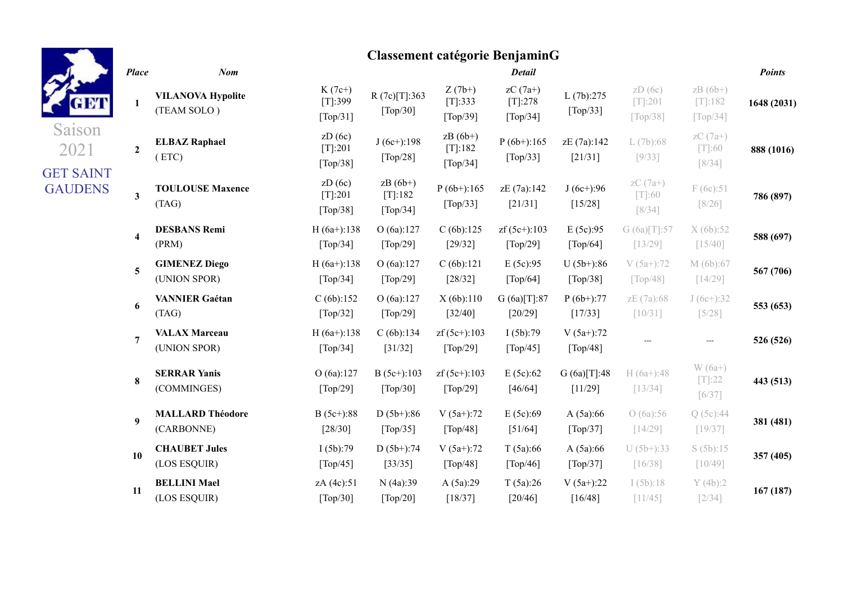| H.     |
|--------|
| Saison |
|        |

## GET SAINT **GAUDENS**

|                         |                                         |                                                | <b>Classement catégorie BenjaminG</b>         |                                                      |                                           |                                               |                                                      |                                                          |               |
|-------------------------|-----------------------------------------|------------------------------------------------|-----------------------------------------------|------------------------------------------------------|-------------------------------------------|-----------------------------------------------|------------------------------------------------------|----------------------------------------------------------|---------------|
| <b>Place</b>            | <b>Nom</b>                              |                                                |                                               |                                                      | <b>Detail</b>                             |                                               |                                                      |                                                          | <b>Points</b> |
| 1                       | <b>VILANOVA Hypolite</b><br>(TEAM SOLO) | $K(7c+)$<br>[T]:399<br>[Top/31]                | R(7c)[T]:363<br>[Top/30]                      | $Z(7b+)$<br>[T]:333<br>$\lceil \text{Top}/39 \rceil$ | $zC(7a+)$<br>$[T]$ :278<br>[Top/34]       | L(7b):275<br>[Top/33]                         | ZD(6c)<br>$[T]:201$<br>$\lceil \text{Top}/38 \rceil$ | $zB(6b+)$<br>$[T]$ :182<br>$\lceil \text{Top}/34 \rceil$ | 1648 (2031)   |
| $\mathbf{2}$            | <b>ELBAZ Raphael</b><br>(ETC)           | ZD(6c)<br>$[T[:201$<br>[Top/38]                | $J(6c+)$ :198<br>$[Top/28]$                   | $zB(6b+)$<br>[T]:182<br>[Top/34]                     | $P(6b+)$ :165<br>[Top/33]                 | zE (7a):142<br>[21/31]                        | L(7b):68<br>[9/33]                                   | $zC(7a+)$<br>$[T]:60$<br>[8/34]                          | 888 (1016)    |
| $\mathbf{3}$            | <b>TOULOUSE Maxence</b><br>(TAG)        | ZD(6c)<br>$[T[:201$<br>[Top/38]                | $zB(6b+)$<br>[T]:182<br>[Top/34]              | $P(6b+)$ :165<br>[Top/33]                            | zE (7a):142<br>[21/31]                    | $J(6c+)$ :96<br>[15/28]                       | $zC(7a+)$<br>$[T]:60$<br>[8/34]                      | F(6c):51<br>$[8/26]$                                     | 786 (897)     |
| $\overline{\mathbf{4}}$ | <b>DESBANS Remi</b><br>(PRM)            | $H(6a+)$ :138<br>$\lceil \text{Top}/34 \rceil$ | O(6a):127<br>[Top/29]                         | C(6b):125<br>[29/32]                                 | $zf(5c+)$ :103<br>[Top/29]                | E(5c):95<br>[Top/64]                          | G(6a)[T]:57<br>[13/29]                               | X(6b):52<br>[15/40]                                      | 588 (697)     |
| $\overline{5}$          | <b>GIMENEZ Diego</b><br>(UNION SPOR)    | $H(6a+)$ :138<br>$\lceil \text{Top}/34 \rceil$ | O(6a):127<br>[Top/29]                         | C(6b):121<br>[28/32]                                 | E(5c):95<br>$\lceil \text{Top}/64 \rceil$ | $U(5b+)$ :86<br>$\lceil \text{Top}/38 \rceil$ | $V(5a+)$ :72<br>$\lceil \text{Top}/48 \rceil$        | M (6b):67<br>[14/29]                                     | 567 (706)     |
| 6                       | <b>VANNIER Gaétan</b><br>(TAG)          | C(6b):152<br>[Top/32]                          | O(6a):127<br>[Top/29]                         | X(6b):110<br>[32/40]                                 | G(6a)[T]:87<br>$[20/29]$                  | $P(6b+)$ :77<br>[17/33]                       | zE (7a):68<br>[10/31]                                | $J(6c+)$ :32<br>$[5/28]$                                 | 553 (653)     |
| $\overline{7}$          | <b>VALAX Marceau</b><br>(UNION SPOR)    | $H(6a+)$ :138<br>[Top/34]                      | C(6b):134<br>[31/32]                          | $zf(5c+)$ :103<br>[Top/29]                           | I(5b):79<br>[Top/45]                      | $V(5a+)$ :72<br>[Top/48]                      |                                                      |                                                          | 526 (526)     |
| 8                       | <b>SERRAR Yanis</b><br>(COMMINGES)      | O(6a):127<br>$\lceil \text{Top}/29 \rceil$     | $B(5c+):103$<br>$\lceil \text{Top}/30 \rceil$ | $zf(5c+)$ :103<br>$\lceil \text{Top}/29 \rceil$      | E(5c):62<br>[46/64]                       | G(6a)[T]:48<br>[11/29]                        | $H(6a+)$ :48<br>[13/34]                              | $W(6a+)$<br>$[T[:22]$<br>[6/37]                          | 443 (513)     |
| $\boldsymbol{9}$        | <b>MALLARD Théodore</b><br>(CARBONNE)   | $B(5c+):88$<br>$[28/30]$                       | $D(5b+)$ :86<br>[Top/35]                      | $V(5a+)$ :72<br>$\lceil Top/48 \rceil$               | E(5c):69<br>[51/64]                       | A(5a):66<br>[Top/37]                          | O(6a):56<br>[14/29]                                  | Q(5c):44<br>[19/37]                                      | 381 (481)     |
| 10                      | <b>CHAUBET Jules</b><br>(LOS ESQUIR)    | I(5b):79<br>$\lceil \text{Top}/45 \rceil$      | $D(5b+)$ :74<br>[33/35]                       | $V(5a+)$ :72<br>$\lceil Top/48 \rceil$               | T(5a):66<br>$\lceil \text{Top}/46 \rceil$ | A(5a):66<br>[Top/37]                          | $U(5b+)$ :33<br>[16/38]                              | S(5b):15<br>[10/49]                                      | 357 (405)     |
| 11                      | <b>BELLINI Mael</b><br>(LOS ESQUIR)     | zA (4c):51<br>$\lceil \text{Top}/30 \rceil$    | N (4a):39<br>$\lceil \text{Top}/20 \rceil$    | A(5a):29<br>[18/37]                                  | T(5a):26<br>[20/46]                       | $V(5a+)$ :22<br>[16/48]                       | I(5b):18<br>[11/45]                                  | Y(4b):2<br>$[2/34]$                                      | 167(187)      |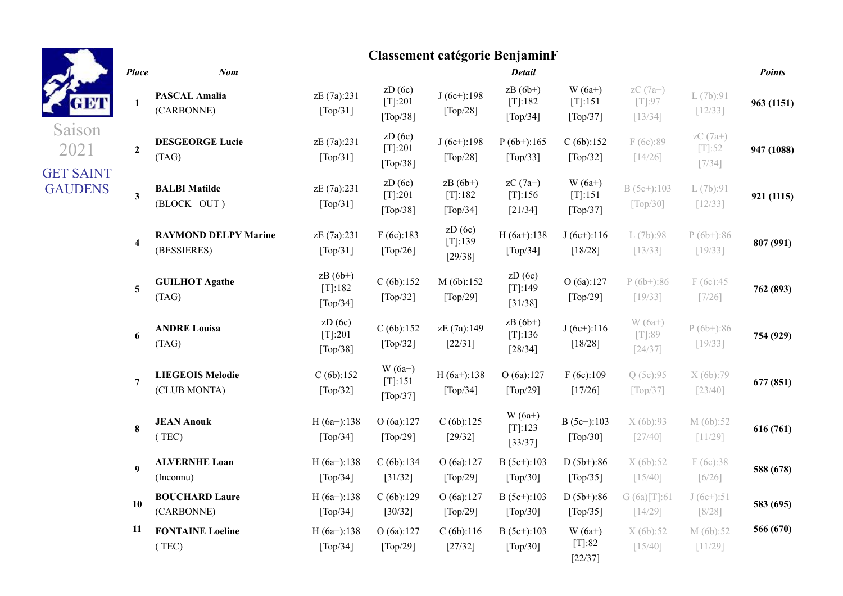|                                    |                 |                                            |                                                |                                             | <b>Classement catégorie BenjaminF</b> |                                                          |                                                      |                                  |                                   |               |
|------------------------------------|-----------------|--------------------------------------------|------------------------------------------------|---------------------------------------------|---------------------------------------|----------------------------------------------------------|------------------------------------------------------|----------------------------------|-----------------------------------|---------------|
|                                    | <b>Place</b>    | Nom                                        |                                                |                                             |                                       | <b>Detail</b>                                            |                                                      |                                  |                                   | <b>Points</b> |
|                                    | 1               | <b>PASCAL Amalia</b><br>(CARBONNE)         | zE (7a):231<br>[Top/31]                        | ZD(6c)<br>[T]:201<br>[Top/38]               | $J(6c+)$ :198<br>[Top/28]             | $zB(6b+)$<br>$[T]$ :182<br>$\lceil \text{Top}/34 \rceil$ | $W(6a+)$<br>[T]:151<br>$\lceil \text{Top}/37 \rceil$ | $zC(7a+)$<br>$[T]:97$<br>[13/34] | L(7b):91<br>$[12/33]$             | 963 (1151)    |
| Saison<br>2021<br><b>GET SAINT</b> | $\overline{2}$  | <b>DESGEORGE Lucie</b><br>(TAG)            | zE (7a):231<br>[Top/31]                        | ZD(6c)<br>$[T]:201$<br>[Top/38]             | $J(6c+)$ :198<br>[Top/28]             | $P(6b+)$ :165<br>[Top/33]                                | C(6b):152<br>[Top/32]                                | F(6c):89<br>[14/26]              | $zC(7a+)$<br>$[T]:52$<br>$[7/34]$ | 947 (1088)    |
| <b>GAUDENS</b>                     | 3 <sup>1</sup>  | <b>BALBI Matilde</b><br>(BLOCK OUT)        | zE (7a):231<br>[Top/31]                        | ZD(6c)<br>[T]:201<br>[Top/38]               | $zB(6b+)$<br>[T]:182<br>[Top/34]      | $zC(7a+)$<br>$[T]$ :156<br>[21/34]                       | $W(6a+)$<br>[T]:151<br>[Top/37]                      | $B(5c+):103$<br>[Top/30]         | L(7b):91<br>$[12/33]$             | 921 (1115)    |
|                                    | $\overline{4}$  | <b>RAYMOND DELPY Marine</b><br>(BESSIERES) | zE (7a):231<br>[Top/31]                        | F(6c):183<br>[Top/26]                       | ZD(6c)<br>[T]:139<br>[29/38]          | $H(6a+)$ :138<br>[Top/34]                                | $J(6c+)$ :116<br>[18/28]                             | L(7b):98<br>[13/33]              | $P(6b+)$ :86<br>$[19/33]$         | 807 (991)     |
|                                    | $5\overline{)}$ | <b>GUILHOT Agathe</b><br>(TAG)             | $zB(6b+)$<br>[T]:182<br>[Top/34]               | C(6b):152<br>[Top/32]                       | M (6b):152<br>[Top/29]                | ZD(6c)<br>[T]:149<br>[31/38]                             | O(6a):127<br>[Top/29]                                | $P(6b+):86$<br>[19/33]           | F(6c):45<br>$[7/26]$              | 762 (893)     |
|                                    | 6               | <b>ANDRE Louisa</b><br>(TAG)               | ZD(6c)<br>[T]:201<br>[Top/38]                  | C(6b):152<br>[Top/32]                       | zE (7a):149<br>$[22/31]$              | $zB(6b+)$<br>[T]:136<br>$[28/34]$                        | $J(6c+)$ :116<br>$[18/28]$                           | $W(6a+)$<br>$[T]:89$<br>[24/37]  | $P(6b+)$ :86<br>$[19/33]$         | 754 (929)     |
|                                    | $\overline{7}$  | <b>LIEGEOIS Melodie</b><br>(CLUB MONTA)    | C(6b):152<br>[Top/32]                          | $W(6a+)$<br>$[T[:151]$<br>[Top/37]          | $H(6a+)$ :138<br>[Top/34]             | O(6a):127<br>[Top/29]                                    | F(6c):109<br>[17/26]                                 | Q (5c):95<br>[Top/37]            | X (6b):79<br>$[23/40]$            | 677 (851)     |
|                                    | $\bf{8}$        | <b>JEAN Anouk</b><br>(TEC)                 | $H(6a+)$ :138<br>$\lceil \text{Top}/34 \rceil$ | O(6a):127<br>[Top/29]                       | C(6b):125<br>$[29/32]$                | $W(6a+)$<br>$[T]$ :123<br>[33/37]                        | $B(5c+)$ :103<br>[Top/30]                            | X(6b):93<br>[27/40]              | M (6b):52<br>[11/29]              | 616 (761)     |
|                                    | 9               | <b>ALVERNHE Loan</b><br>(Inconnu)          | $H(6a+)$ :138<br>[Top/34]                      | C(6b):134<br>[31/32]                        | O(6a):127<br>[Top/29]                 | $B(5c+):103$<br>[Top/30]                                 | $D(5b+)$ :86<br>[Top/35]                             | X(6b):52<br>[15/40]              | F(6c):38<br>$[6/26]$              | 588 (678)     |
|                                    | 10              | <b>BOUCHARD Laure</b><br>(CARBONNE)        | $H(6a+)$ :138<br>[Top/34]                      | C(6b):129<br>[30/32]                        | O(6a):127<br>$[\text{Top}/29]$        | $B(5c+):103$<br>[Top/30]                                 | $D(5b+)$ :86<br>[Top/35]                             | G (6a)[T]:61<br>$[14/29]$        | $J(6c+)$ :51<br>$[8/28]$          | 583 (695)     |
|                                    | 11              | <b>FONTAINE Loeline</b><br>(TEC)           | $H(6a+)$ :138<br>$\lceil \text{Top}/34 \rceil$ | O (6a):127<br>$\lceil \text{Top}/29 \rceil$ | C(6b):116<br>[27/32]                  | $B(5c+):103$<br>$\lceil \text{Top}/30 \rceil$            | $W(6a+)$<br>$[T]:82$<br>[22/37]                      | X(6b):52<br>[15/40]              | M(6b):52<br>[11/29]               | 566 (670)     |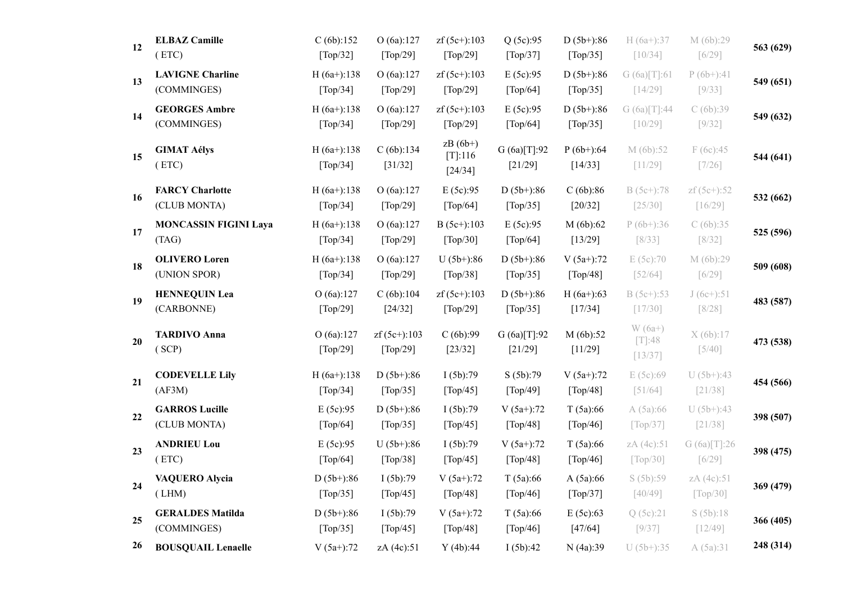| 12 | <b>ELBAZ Camille</b><br>(ETC)          | C(6b):152<br>[Top/32]                          | O(6a):127<br>[Top/29]                           | $zf(5c+)$ :103<br>[Top/29]                      | Q(5c):95<br>[Top/37]                       | $D(5b+)$ :86<br>[Top/35] | $H(6a+):37$<br>[10/34]            | M (6b):29<br>$[6/29]$     | 563 (629) |
|----|----------------------------------------|------------------------------------------------|-------------------------------------------------|-------------------------------------------------|--------------------------------------------|--------------------------|-----------------------------------|---------------------------|-----------|
| 13 | <b>LAVIGNE Charline</b><br>(COMMINGES) | $H(6a+)$ :138<br>$\lceil \text{Top}/34 \rceil$ | O(6a):127<br>[Top/29]                           | $zf(5c+)$ :103<br>$\lceil \text{Top}/29 \rceil$ | E (5c):95<br>[Top/64]                      | $D(5b+)$ :86<br>[Top/35] | G(6a)[T]:61<br>[14/29]            | $P(6b+)$ :41<br>[9/33]    | 549 (651) |
| 14 | <b>GEORGES Ambre</b><br>(COMMINGES)    | $H(6a+)$ :138<br>$\lceil \text{Top}/34 \rceil$ | O(6a):127<br>[Top/29]                           | $zf(5c+)$ :103<br>[Top/29]                      | E (5c):95<br>$\lceil \text{Top}/64 \rceil$ | $D(5b+)$ :86<br>[Top/35] | G(6a)[T]:44<br>[10/29]            | C(6b):39<br>$[9/32]$      | 549 (632) |
| 15 | <b>GIMAT Aélys</b><br>(ETC)            | $H(6a+)$ :138<br>$\lceil \text{Top}/34 \rceil$ | C(6b):134<br>[31/32]                            | $zB(6b+)$<br>[T]:116<br>[24/34]                 | G (6a)[T]:92<br>[21/29]                    | $P(6b+)$ :64<br>[14/33]  | M (6b):52<br>[11/29]              | F(6c):45<br>$[7/26]$      | 544 (641) |
| 16 | <b>FARCY Charlotte</b><br>(CLUB MONTA) | $H(6a+)$ :138<br>$\lceil \text{Top}/34 \rceil$ | O(6a):127<br>[Top/29]                           | E(5c):95<br>[Top/64]                            | $D(5b+)$ :86<br>[Top/35]                   | C(6b):86<br>$[20/32]$    | $B(5c+)$ :78<br>$[25/30]$         | $zf(5c+) : 52$<br>[16/29] | 532 (662) |
| 17 | <b>MONCASSIN FIGINI Laya</b><br>(TAG)  | $H(6a+)$ :138<br>[Top/34]                      | O(6a):127<br>[Top/29]                           | $B(5c+)$ :103<br>[Top/30]                       | E(5c):95<br>[Top/64]                       | M(6b):62<br>[13/29]      | $P(6b+)$ :36<br>$[8/33]$          | C(6b):35<br>$[8/32]$      | 525 (596) |
| 18 | <b>OLIVERO</b> Loren<br>(UNION SPOR)   | $H(6a+)$ :138<br>[Top/34]                      | O(6a):127<br>[Top/29]                           | $U(5b+)$ :86<br>[Top/38]                        | $D(5b+)$ :86<br>[Top/35]                   | $V(5a+)$ :72<br>[Top/48] | E(5c):70<br>$[52/64]$             | M (6b):29<br>$[6/29]$     | 509 (608) |
| 19 | <b>HENNEQUIN Lea</b><br>(CARBONNE)     | O (6a):127<br>[Top/29]                         | C(6b):104<br>[24/32]                            | $zf(5c+)$ :103<br>[Top/29]                      | $D(5b+)$ :86<br>$[Top/35]$                 | $H(6a+)$ :63<br>[17/34]  | $B(5c+):53$<br>[17/30]            | $J(6c+)$ :51<br>$[8/28]$  | 483 (587) |
| 20 | <b>TARDIVO</b> Anna<br>(SCP)           | O(6a):127<br>[Top/29]                          | $zf(5c+)$ :103<br>$\lceil \text{Top}/29 \rceil$ | C(6b):99<br>[23/32]                             | G(6a)[T]:92<br>[21/29]                     | M(6b):52<br>[11/29]      | $W(6a+)$<br>$[T]:48$<br>$[13/37]$ | X(6b):17<br>$[5/40]$      | 473 (538) |
| 21 | <b>CODEVELLE Lily</b><br>(AF3M)        | $H(6a+)$ :138<br>[Top/34]                      | $D(5b+)$ :86<br>[Top/35]                        | I(5b):79<br>[Top/45]                            | S (5b):79<br>$[Top/49]$                    | $V(5a+)$ :72<br>[Top/48] | E (5c):69<br>[51/64]              | $U(5b+)$ :43<br>[21/38]   | 454 (566) |
| 22 | <b>GARROS Lucille</b><br>(CLUB MONTA)  | E(5c):95<br>[Top/64]                           | $D(5b+)$ :86<br>[Top/35]                        | I(5b):79<br>[Top/45]                            | $V(5a+)$ :72<br>[Top/48]                   | T(5a):66<br>[Top/46]     | A(5a):66<br>[Top/37]              | $U(5b+)$ :43<br>[21/38]   | 398 (507) |
| 23 | <b>ANDRIEU Lou</b><br>(ETC)            | E(5c):95<br>[Top/64]                           | $U(5b+)$ :86<br>[Top/38]                        | I(5b):79<br>[Top/45]                            | $V(5a+)$ :72<br>[Top/48]                   | T(5a):66<br>[Top/46]     | zA (4c):51<br>[Top/30]            | G(6a)[T]:26<br>$[6/29]$   | 398 (475) |
| 24 | <b>VAQUERO Alycia</b><br>(LHM)         | $D(5b+)$ :86<br>[Top/35]                       | I(5b):79<br>[Top/45]                            | $V(5a+)$ :72<br>[Top/48]                        | T(5a):66<br>[Top/46]                       | A(5a):66<br>[Top/37]     | S(5b):59<br>$[40/49]$             | zA (4c):51<br>[Top/30]    | 369 (479) |
| 25 | <b>GERALDES Matilda</b><br>(COMMINGES) | $D(5b+)$ :86<br>$\lceil \text{Top}/35 \rceil$  | I(5b):79<br>$\lceil \text{Top}/45 \rceil$       | $V(5a+)$ :72<br>$\lceil \text{Top}/48 \rceil$   | T(5a):66<br>$\lceil \text{Top}/46 \rceil$  | E(5c):63<br>[47/64]      | Q(5c):21<br>[9/37]                | S(5b):18<br>[12/49]       | 366 (405) |
| 26 | <b>BOUSQUAIL Lenaelle</b>              | $V(5a+)$ :72                                   | zA (4c):51                                      | Y(4b):44                                        | I(5b):42                                   | N (4a):39                | $U(5b+)$ :35                      | A(5a):31                  | 248 (314) |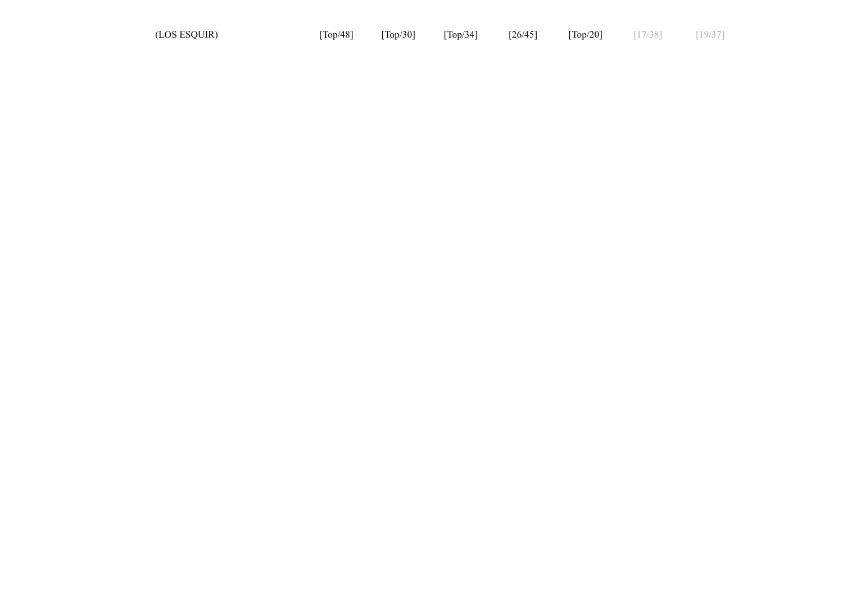| (LOS ESQUIR) | $\lceil \text{Top}/48 \rceil$ | $\lceil \text{Top}/30 \rceil$ | $\lceil \text{Top}/34 \rceil$ | [26/45] | $\lceil \text{Top}/20 \rceil$ | [17/38] | [19/37] |
|--------------|-------------------------------|-------------------------------|-------------------------------|---------|-------------------------------|---------|---------|
|--------------|-------------------------------|-------------------------------|-------------------------------|---------|-------------------------------|---------|---------|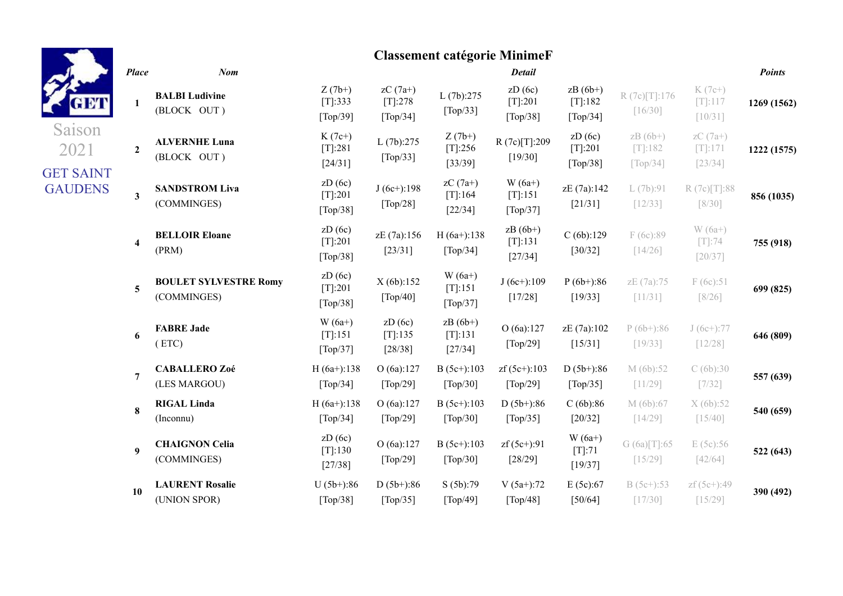|                                    | <b>Place</b>            |
|------------------------------------|-------------------------|
| GETT                               | $\mathbf{1}$            |
| Saison<br>2021                     | $\mathbf{2}$            |
| <b>GET SAINT</b><br><b>GAUDENS</b> | 3                       |
|                                    | $\overline{\mathbf{4}}$ |
|                                    | 5                       |
|                                    | 6                       |
|                                    | 7                       |
|                                    | 8                       |

# **Classement catégorie MinimeF**

| <b>Place</b>     | <b>Nom</b>                                  |                                                      |                                                       |                                                      | <b>Detail</b>                                 |                                                       |                                                         |                                     | <b>Points</b> |
|------------------|---------------------------------------------|------------------------------------------------------|-------------------------------------------------------|------------------------------------------------------|-----------------------------------------------|-------------------------------------------------------|---------------------------------------------------------|-------------------------------------|---------------|
| $\mathbf{1}$     | <b>BALBI</b> Ludivine<br>(BLOCK OUT)        | $Z(7b+)$<br>[T]:333<br>$\lceil \text{Top}/39 \rceil$ | $zC(7a+)$<br>[T]:278<br>$\lceil \text{Top}/34 \rceil$ | L(7b):275<br>[Top/33]                                | ZD(6c)<br>$[T]:201$<br>[Top/38]               | $zB(6b+)$<br>[T]:182<br>$\lceil \text{Top}/34 \rceil$ | R(7c)[T]:176<br>$[16/30]$                               | $K(7c+)$<br>$[T]:117$<br>[10/31]    | 1269 (1562)   |
| $\overline{2}$   | <b>ALVERNHE Luna</b><br>(BLOCK OUT)         | $K(7c+)$<br>[T]:281<br>[24/31]                       | L(7b):275<br>[Top/33]                                 | $Z(7b+)$<br>$[T]$ :256<br>[33/39]                    | R(7c)[T]:209<br>[19/30]                       | ZD(6c)<br>$[T]:201$<br>$\lceil \text{Top}/38 \rceil$  | $zB(6b+)$<br>$[T]:182$<br>$\lceil \text{Top}/34 \rceil$ | $zC(7a+)$<br>$[T]{:}171$<br>[23/34] | 1222 (1575)   |
| 3                | <b>SANDSTROM Liva</b><br>(COMMINGES)        | ZD(6c)<br>$[T]:201$<br>[Top/38]                      | $J(6c+)$ :198<br>[Top/28]                             | $zC(7a+)$<br>$[T]$ :164<br>$[22/34]$                 | $W(6a+)$<br>[T]:151<br>[Top/37]               | zE (7a):142<br>[21/31]                                | L(7b):91<br>[12/33]                                     | R(7c)[T]:88<br>$[8/30]$             | 856 (1035)    |
| 4                | <b>BELLOIR Eloane</b><br>(PRM)              | ZD(6c)<br>$[T]:201$<br>[Top/38]                      | zE (7a):156<br>[23/31]                                | $H(6a+)$ :138<br>[Top/34]                            | $zB(6b+)$<br>[T]:131<br>[27/34]               | C(6b):129<br>[30/32]                                  | F(6c):89<br>[14/26]                                     | $W(6a+)$<br>$[T]:74$<br>[20/37]     | 755 (918)     |
| 5                | <b>BOULET SYLVESTRE Romy</b><br>(COMMINGES) | ZD(6c)<br>$[T]:201$<br>$\lceil \text{Top}/38 \rceil$ | X(6b):152<br>[Top/40]                                 | $W(6a+)$<br>[T]:151<br>$\lceil \text{Top}/37 \rceil$ | $J(6c+)$ :109<br>[17/28]                      | $P(6b+)$ :86<br>[19/33]                               | zE (7a):75<br>[11/31]                                   | F(6c):51<br>$[8/26]$                | 699 (825)     |
| 6                | <b>FABRE Jade</b><br>(ETC)                  | $W(6a+)$<br>[T]:151<br>[Top/37]                      | ZD(6c)<br>$[T]$ :135<br>[28/38]                       | $zB(6b+)$<br>[T]:131<br>$[27/34]$                    | O(6a):127<br>[Top/29]                         | zE (7a):102<br>[15/31]                                | $P(6b+)$ :86<br>[19/33]                                 | $J(6c+):77$<br>[12/28]              | 646 (809)     |
| $\overline{7}$   | <b>CABALLERO Zoé</b><br>(LES MARGOU)        | $H(6a+)$ :138<br>$\lceil \text{Top}/34 \rceil$       | O(6a):127<br>[Top/29]                                 | $B(5c+)$ :103<br>[Top/30]                            | $zf(5c+)$ :103<br>[Top/29]                    | $D(5b+)$ :86<br>[Top/35]                              | M(6b):52<br>[11/29]                                     | C(6b):30<br>$[7/32]$                | 557 (639)     |
| 8                | <b>RIGAL Linda</b><br>(Inconnu)             | $H(6a+)$ :138<br>$\lceil \text{Top}/34 \rceil$       | O(6a):127<br>[Top/29]                                 | $B(5c+)$ :103<br>$\lceil \text{Top}/30 \rceil$       | $D(5b+)$ :86<br>$\lceil \text{Top}/35 \rceil$ | C(6b):86<br>[20/32]                                   | M (6b):67<br>[14/29]                                    | X(6b):52<br>[15/40]                 | 540 (659)     |
| $\boldsymbol{9}$ | <b>CHAIGNON Celia</b><br>(COMMINGES)        | ZD(6c)<br>[T]:130<br>[27/38]                         | O (6a):127<br>[Top/29]                                | $B(5c+)$ :103<br>[Top/30]                            | $zf(5c+)$ :91<br>[28/29]                      | $W(6a+)$<br>$[T]:71$<br>[19/37]                       | G(6a)[T]:65<br>$[15/29]$                                | E(5c):56<br>[42/64]                 | 522 (643)     |
| 10               | <b>LAURENT Rosalie</b>                      | $U(5b+)$ :86                                         | $D(5b+)$ :86                                          | S (5b):79                                            | $V(5a+)$ :72                                  | E(5c):67                                              | $B(5c+)$ :53                                            | zf (5c+):49                         | 390 (492)     |
|                  | (UNION SPOR)                                | [Top/38]                                             | [Top/35]                                              | $\lceil \text{Top}/49 \rceil$                        | $\lceil Top/48 \rceil$                        | [50/64]                                               | $[17/30]$                                               | $[15/29]$                           |               |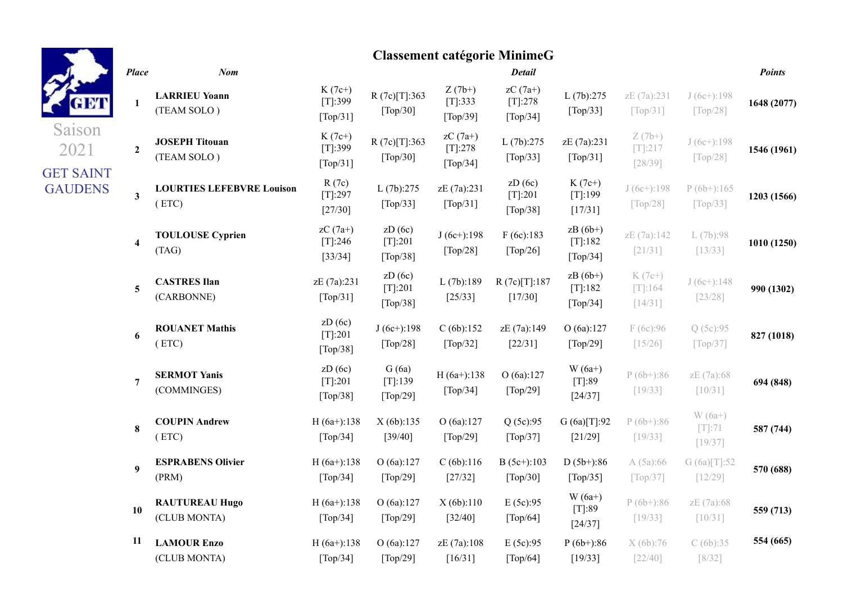| GETT                               | l |
|------------------------------------|---|
| Saison<br>2021                     |   |
| <b>GET SAINT</b><br><b>GAUDENS</b> |   |
|                                    |   |
|                                    |   |
|                                    |   |
|                                    |   |

## **Classement catégorie MinimeG**

| <b>Place</b>            | <b>Nom</b>                                |                                                      |                                                   |                                                | <b>Detail</b>                                            |                                            |                                                |                                                | <b>Points</b> |
|-------------------------|-------------------------------------------|------------------------------------------------------|---------------------------------------------------|------------------------------------------------|----------------------------------------------------------|--------------------------------------------|------------------------------------------------|------------------------------------------------|---------------|
| $\mathbf 1$             | <b>LARRIEU Yoann</b><br>(TEAM SOLO)       | $K(7c+)$<br>[T]:399<br>[Top/31]                      | R(7c)[T]:363<br>[Top/30]                          | $Z(7b+)$<br>[T]:333<br>[Top/39]                | $zC(7a+)$<br>$[T]$ :278<br>$\lceil \text{Top}/34 \rceil$ | L(7b):275<br>[Top/33]                      | zE (7a):231<br>$\lceil \text{Top}/31 \rceil$   | $J(6c+)$ :198<br>$\lceil \text{Top}/28 \rceil$ | 1648 (2077)   |
| $\overline{2}$          | <b>JOSEPH Titouan</b><br>(TEAM SOLO)      | $K(7c+)$<br>[T]:399<br>[Top/31]                      | R(7c)[T]:363<br>$[Top/30]$                        | $zC(7a+)$<br>[T]:278<br>[Top/34]               | L(7b):275<br>[Top/33]                                    | zE (7a):231<br>[Top/31]                    | $Z(7b+)$<br>$[T]:217$<br>[28/39]               | $J(6c+)$ :198<br>[Top/28]                      | 1546 (1961)   |
| $\mathbf{3}$            | <b>LOURTIES LEFEBVRE Louison</b><br>(ETC) | R(7c)<br>$[T]:297$<br>[27/30]                        | L(7b):275<br>[Top/33]                             | zE (7a):231<br>$\lceil \text{Top}/31 \rceil$   | zD(6c)<br>$[T]$ :201<br>$\lceil \text{Top}/38 \rceil$    | $K(7c+)$<br>$[T]:199$<br>[17/31]           | $J(6c+)$ :198<br>$\lceil \text{Top}/28 \rceil$ | $P(6b+)$ :165<br>$\lceil \text{Top}/33 \rceil$ | 1203 (1566)   |
| $\overline{\mathbf{4}}$ | <b>TOULOUSE Cyprien</b><br>(TAG)          | $zC(7a+)$<br>$[T[:246$<br>[33/34]                    | zD(6c)<br>$[T]:201$<br>[Top/38]                   | $J(6c+)$ :198<br>$\lceil \text{Top}/28 \rceil$ | F(6c):183<br>$\lceil \text{Top}/26 \rceil$               | $zB(6b+)$<br>$[T]$ :182<br>[Top/34]        | zE (7a):142<br>[21/31]                         | L(7b):98<br>[13/33]                            | 1010 (1250)   |
| $\overline{\mathbf{5}}$ | <b>CASTRES Ilan</b><br>(CARBONNE)         | zE (7a):231<br>$\lceil \text{Top}/31 \rceil$         | ZD(6c)<br>$[T]:201$<br>[Top/38]                   | L(7b):189<br>$[25/33]$                         | R(7c)[T]:187<br>[17/30]                                  | $zB(6b+)$<br>$[T]$ :182<br>[Top/34]        | $K(7c+)$<br>$[T]$ :164<br>[14/31]              | $J(6c+)$ :148<br>[23/28]                       | 990 (1302)    |
| 6                       | <b>ROUANET Mathis</b><br>(ETC)            | ZD(6c)<br>[T]:201<br>[Top/38]                        | $J(6c+)$ :198<br>[Top/28]                         | C(6b):152<br>[Top/32]                          | zE (7a):149<br>[22/31]                                   | O(6a):127<br>$\lceil \text{Top}/29 \rceil$ | F (6c):96<br>[15/26]                           | Q (5c):95<br>$\lceil \text{Top}/37 \rceil$     | 827 (1018)    |
| $\overline{7}$          | <b>SERMOT Yanis</b><br>(COMMINGES)        | ZD(6c)<br>$[T]:201$<br>$\lceil \text{Top}/38 \rceil$ | G(6a)<br>[T]:139<br>$\lceil \text{Top}/29 \rceil$ | $H(6a+)$ :138<br>[Top/34]                      | O(6a):127<br>[Top/29]                                    | $W(6a+)$<br>$[T]:89$<br>[24/37]            | $P(6b+)$ :86<br>[19/33]                        | zE (7a):68<br>[10/31]                          | 694 (848)     |
| 8                       | <b>COUPIN Andrew</b><br>(ETC)             | $H(6a+)$ :138<br>[Top/34]                            | X(6b):135<br>[39/40]                              | O(6a):127<br>[Top/29]                          | Q(5c):95<br>[Top/37]                                     | G(6a)[T[:92]<br>$[21/29]$                  | $P(6b+)$ :86<br>[19/33]                        | $W(6a+)$<br>$[T]:71$<br>[19/37]                | 587 (744)     |
| 9                       | <b>ESPRABENS Olivier</b><br>(PRM)         | $H(6a+)$ :138<br>$\lceil \text{Top}/34 \rceil$       | O(6a):127<br>$\lceil \text{Top}/29 \rceil$        | C(6b):116<br>[27/32]                           | $B(5c+):103$<br>$\lceil \text{Top}/30 \rceil$            | $D(5b+)$ :86<br>[Top/35]                   | A (5a):66<br>$\lceil \text{Top}/37 \rceil$     | G (6a)[T]:52<br>[12/29]                        | 570 (688)     |
| 10                      | <b>RAUTUREAU Hugo</b><br>(CLUB MONTA)     | $H(6a+)$ :138<br>$\lceil \text{Top}/34 \rceil$       | O(6a):127<br>$\lceil \text{Top}/29 \rceil$        | X(6b):110<br>[32/40]                           | E(5c):95<br>$\lceil \text{Top}/64 \rceil$                | $W(6a+)$<br>[T]:89<br>[24/37]              | $P(6b+):86$<br>[19/33]                         | zE (7a):68<br>[10/31]                          | 559 (713)     |
| 11                      | <b>LAMOUR Enzo</b><br>(CLUB MONTA)        | $H(6a+)$ :138<br>$[Top/34]$                          | O(6a):127<br>[Top/29]                             | zE (7a):108<br>[16/31]                         | E(5c):95<br>[Top/64]                                     | $P(6b+)$ :86<br>[19/33]                    | X (6b):76<br>$[22/40]$                         | C(6b):35<br>$[8/32]$                           | 554 (665)     |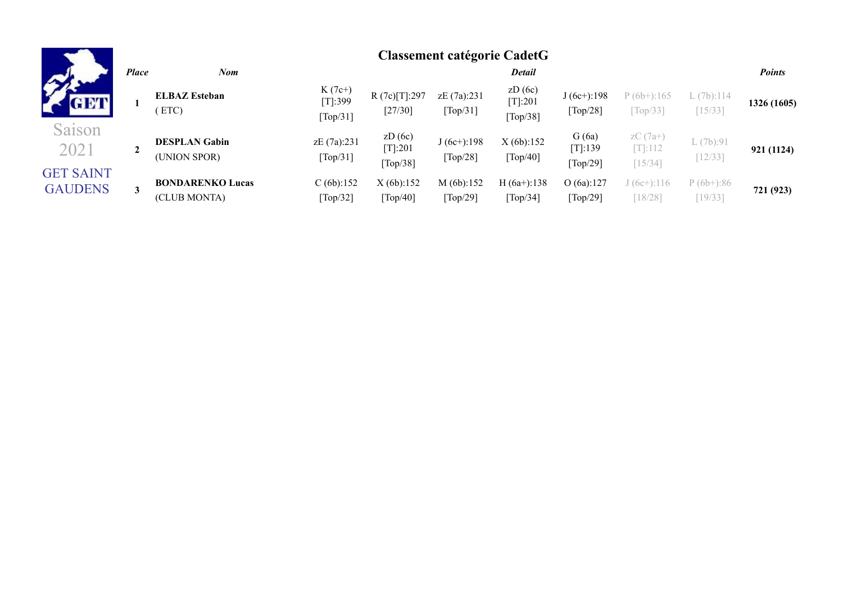| GETT                               |  |
|------------------------------------|--|
| Saison<br>2021                     |  |
| <b>GET SAINT</b><br><b>GAUDENS</b> |  |

|              |                                         |                                     |                                            | Chappenient cheeforte Chatte |                                               |                              |                                                |                           |               |
|--------------|-----------------------------------------|-------------------------------------|--------------------------------------------|------------------------------|-----------------------------------------------|------------------------------|------------------------------------------------|---------------------------|---------------|
| <b>Place</b> | Nom                                     |                                     |                                            |                              | <b>Detail</b>                                 |                              |                                                |                           | <b>Points</b> |
|              | <b>ELBAZ Esteban</b><br>ETC             | $K(7c+)$<br>[T]:399<br>[Top/31]     | R(7c)[T]:297<br>[27/30]                    | zE (7a):231<br>[Top/31]      | ZD(6c)<br>$[T[:201$<br>$\lceil Top/38 \rceil$ | $J(6c+)$ :198<br>[Top/28]    | $P(6b+)$ :165<br>$\lceil \text{Top}/33 \rceil$ | L(7b):114<br>[15/33]      | 1326 (1605)   |
|              | <b>DESPLAN Gabin</b><br>(UNION SPOR)    | zE (7a):231<br>[ $Top/31$ ]         | ZD(6c)<br>$[T[:201$<br>[Top/38]            | $J(6c+)$ :198<br>[Top/28]    | X(6b):152<br>[Top/40]                         | G(6a)<br>[T]:139<br>[Top/29] | $zC(7a+)$<br>$[T[:112$<br>$15/34$ ]            | L(7b):91<br>[12/33]       | 921 (1124)    |
|              | <b>BONDARENKO Lucas</b><br>(CLUB MONTA) | C(6b):152<br>$\lceil Top/32 \rceil$ | X(6b):152<br>$\lceil \text{Top}/40 \rceil$ | M(6b):152<br>[Top/29]        | $H(6a+)$ :138<br>$\lceil Top/34 \rceil$       | O(6a):127<br>[Top/29]        | J (6c+):116<br>18/28                           | $P(6b+)$ :86<br>$19/33$ ] | 721 (923)     |

## **Classement catégorie CadetG**